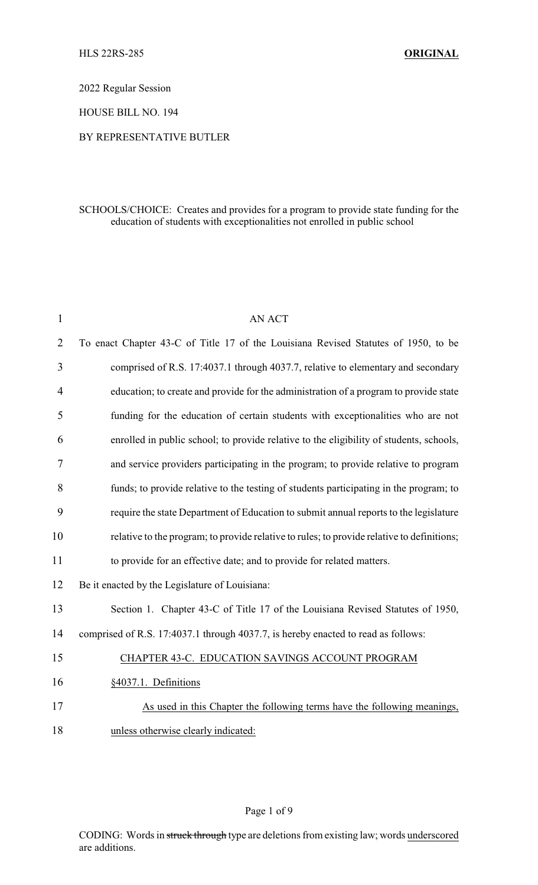2022 Regular Session

HOUSE BILL NO. 194

#### BY REPRESENTATIVE BUTLER

#### SCHOOLS/CHOICE: Creates and provides for a program to provide state funding for the education of students with exceptionalities not enrolled in public school

| $\mathbf{1}$   | AN ACT                                                                                     |
|----------------|--------------------------------------------------------------------------------------------|
| $\overline{2}$ | To enact Chapter 43-C of Title 17 of the Louisiana Revised Statutes of 1950, to be         |
| 3              | comprised of R.S. 17:4037.1 through 4037.7, relative to elementary and secondary           |
| 4              | education; to create and provide for the administration of a program to provide state      |
| 5              | funding for the education of certain students with exceptionalities who are not            |
| 6              | enrolled in public school; to provide relative to the eligibility of students, schools,    |
| 7              | and service providers participating in the program; to provide relative to program         |
| 8              | funds; to provide relative to the testing of students participating in the program; to     |
| 9              | require the state Department of Education to submit annual reports to the legislature      |
| 10             | relative to the program; to provide relative to rules; to provide relative to definitions; |
| 11             | to provide for an effective date; and to provide for related matters.                      |
| 12             | Be it enacted by the Legislature of Louisiana:                                             |
| 13             | Section 1. Chapter 43-C of Title 17 of the Louisiana Revised Statutes of 1950,             |
| 14             | comprised of R.S. 17:4037.1 through 4037.7, is hereby enacted to read as follows:          |
| 15             | CHAPTER 43-C. EDUCATION SAVINGS ACCOUNT PROGRAM                                            |
| 16             | §4037.1. Definitions                                                                       |
| 17             | As used in this Chapter the following terms have the following meanings,                   |
| 18             | unless otherwise clearly indicated:                                                        |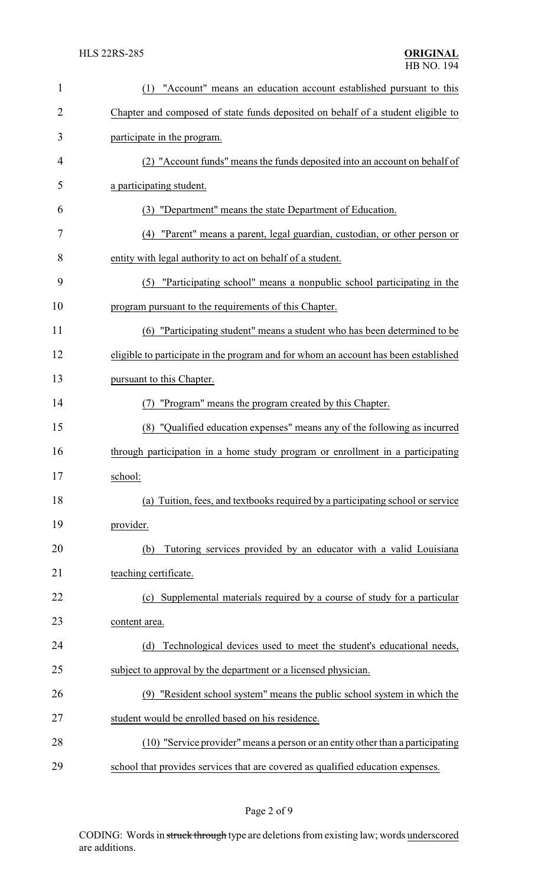| $\mathbf{1}$   | "Account" means an education account established pursuant to this<br>(1)            |
|----------------|-------------------------------------------------------------------------------------|
| $\overline{2}$ | Chapter and composed of state funds deposited on behalf of a student eligible to    |
| 3              | participate in the program.                                                         |
| 4              | (2) "Account funds" means the funds deposited into an account on behalf of          |
| 5              | a participating student.                                                            |
| 6              | "Department" means the state Department of Education.<br>(3)                        |
| 7              | (4) "Parent" means a parent, legal guardian, custodian, or other person or          |
| 8              | entity with legal authority to act on behalf of a student.                          |
| 9              | (5) "Participating school" means a nonpublic school participating in the            |
| 10             | program pursuant to the requirements of this Chapter.                               |
| 11             | (6) "Participating student" means a student who has been determined to be           |
| 12             | eligible to participate in the program and for whom an account has been established |
| 13             | pursuant to this Chapter.                                                           |
| 14             | "Program" means the program created by this Chapter.<br>(7)                         |
| 15             | (8) "Qualified education expenses" means any of the following as incurred           |
| 16             | through participation in a home study program or enrollment in a participating      |
| 17             | school:                                                                             |
| 18             | (a) Tuition, fees, and textbooks required by a participating school or service      |
| 19             | provider.                                                                           |
| 20             | Tutoring services provided by an educator with a valid Louisiana<br>(b)             |
| 21             | teaching certificate.                                                               |
| 22             | (c) Supplemental materials required by a course of study for a particular           |
| 23             | content area.                                                                       |
| 24             | Technological devices used to meet the student's educational needs,<br>(d)          |
| 25             | subject to approval by the department or a licensed physician.                      |
| 26             | (9) "Resident school system" means the public school system in which the            |
| 27             | student would be enrolled based on his residence.                                   |
| 28             | (10) "Service provider" means a person or an entity other than a participating      |
| 29             | school that provides services that are covered as qualified education expenses.     |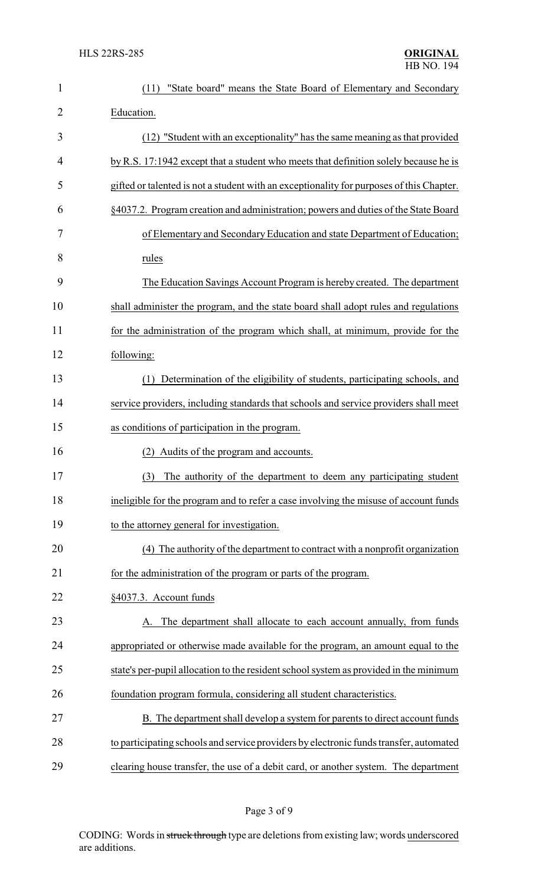| 1  | "State board" means the State Board of Elementary and Secondary<br>(11)                  |
|----|------------------------------------------------------------------------------------------|
| 2  | Education.                                                                               |
| 3  | (12) "Student with an exceptionality" has the same meaning as that provided              |
| 4  | by R.S. 17:1942 except that a student who meets that definition solely because he is     |
| 5  | gifted or talented is not a student with an exceptionality for purposes of this Chapter. |
| 6  | §4037.2. Program creation and administration; powers and duties of the State Board       |
| 7  | of Elementary and Secondary Education and state Department of Education;                 |
| 8  | rules                                                                                    |
| 9  | The Education Savings Account Program is hereby created. The department                  |
| 10 | shall administer the program, and the state board shall adopt rules and regulations      |
| 11 | for the administration of the program which shall, at minimum, provide for the           |
| 12 | following:                                                                               |
| 13 | Determination of the eligibility of students, participating schools, and<br>(1)          |
| 14 | service providers, including standards that schools and service providers shall meet     |
| 15 | as conditions of participation in the program.                                           |
| 16 | Audits of the program and accounts.<br>(2)                                               |
| 17 | (3)<br>The authority of the department to deem any participating student                 |
| 18 | ineligible for the program and to refer a case involving the misuse of account funds     |
| 19 | to the attorney general for investigation.                                               |
| 20 | (4) The authority of the department to contract with a nonprofit organization            |
| 21 | for the administration of the program or parts of the program.                           |
| 22 | §4037.3. Account funds                                                                   |
| 23 | The department shall allocate to each account annually, from funds                       |
| 24 | appropriated or otherwise made available for the program, an amount equal to the         |
| 25 | state's per-pupil allocation to the resident school system as provided in the minimum    |
| 26 | foundation program formula, considering all student characteristics.                     |
| 27 | B. The department shall develop a system for parents to direct account funds             |
| 28 | to participating schools and service providers by electronic funds transfer, automated   |
| 29 | clearing house transfer, the use of a debit card, or another system. The department      |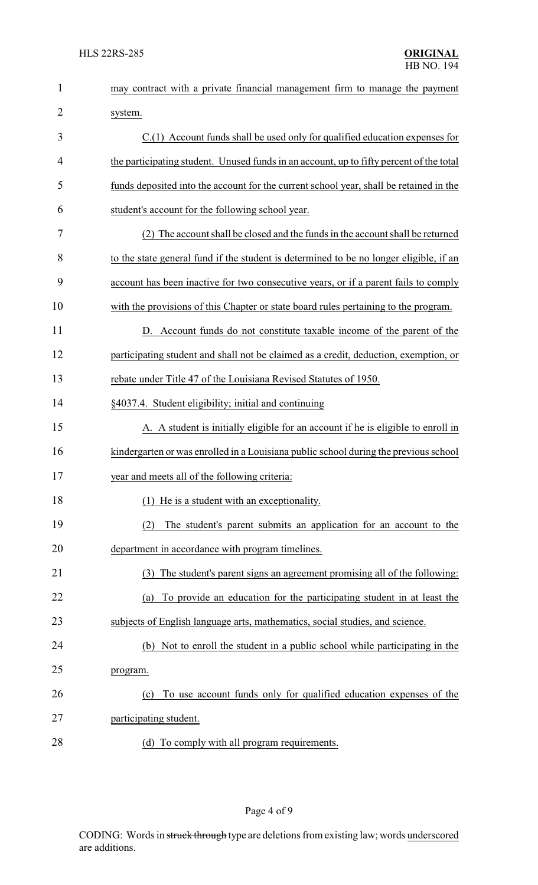| $\mathbf{1}$ | may contract with a private financial management firm to manage the payment             |
|--------------|-----------------------------------------------------------------------------------------|
| 2            | system.                                                                                 |
| 3            | C.(1) Account funds shall be used only for qualified education expenses for             |
| 4            | the participating student. Unused funds in an account, up to fifty percent of the total |
| 5            | funds deposited into the account for the current school year, shall be retained in the  |
| 6            | student's account for the following school year.                                        |
| 7            | (2) The account shall be closed and the funds in the account shall be returned          |
| 8            | to the state general fund if the student is determined to be no longer eligible, if an  |
| 9            | account has been inactive for two consecutive years, or if a parent fails to comply     |
| 10           | with the provisions of this Chapter or state board rules pertaining to the program.     |
| 11           | D. Account funds do not constitute taxable income of the parent of the                  |
| 12           | participating student and shall not be claimed as a credit, deduction, exemption, or    |
| 13           | rebate under Title 47 of the Louisiana Revised Statutes of 1950.                        |
| 14           | §4037.4. Student eligibility; initial and continuing                                    |
| 15           | A. A student is initially eligible for an account if he is eligible to enroll in        |
| 16           | kindergarten or was enrolled in a Louisiana public school during the previous school    |
| 17           | year and meets all of the following criteria:                                           |
| 18           | (1) He is a student with an exceptionality.                                             |
| 19           | The student's parent submits an application for an account to the<br>(2)                |
| 20           | department in accordance with program timelines.                                        |
| 21           | The student's parent signs an agreement promising all of the following:<br>(3)          |
| 22           | To provide an education for the participating student in at least the<br>(a)            |
| 23           | subjects of English language arts, mathematics, social studies, and science.            |
| 24           | Not to enroll the student in a public school while participating in the<br>(b)          |
| 25           | program.                                                                                |
| 26           | To use account funds only for qualified education expenses of the<br>(c)                |
| 27           | participating student.                                                                  |
| 28           | To comply with all program requirements.<br>(d)                                         |

# Page 4 of 9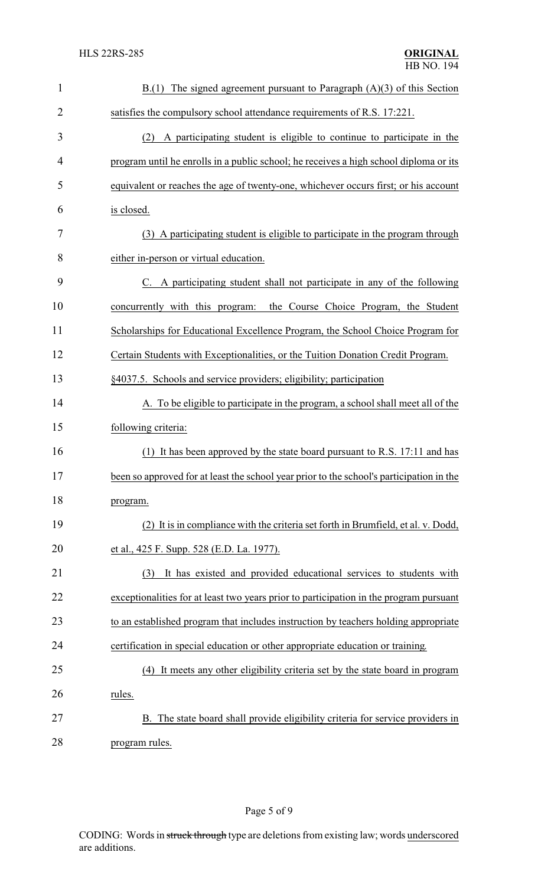| $\mathbf{1}$   | The signed agreement pursuant to Paragraph $(A)(3)$ of this Section<br>B(1)              |
|----------------|------------------------------------------------------------------------------------------|
| $\overline{2}$ | satisfies the compulsory school attendance requirements of R.S. 17:221.                  |
| 3              | A participating student is eligible to continue to participate in the<br>(2)             |
| $\overline{4}$ | program until he enrolls in a public school; he receives a high school diploma or its    |
| 5              | equivalent or reaches the age of twenty-one, whichever occurs first; or his account      |
| 6              | is closed.                                                                               |
| 7              | (3) A participating student is eligible to participate in the program through            |
| 8              | either in-person or virtual education.                                                   |
| 9              | C. A participating student shall not participate in any of the following                 |
| 10             | the Course Choice Program, the Student<br>concurrently with this program:                |
| 11             | Scholarships for Educational Excellence Program, the School Choice Program for           |
| 12             | Certain Students with Exceptionalities, or the Tuition Donation Credit Program.          |
| 13             | §4037.5. Schools and service providers; eligibility; participation                       |
| 14             | A. To be eligible to participate in the program, a school shall meet all of the          |
| 15             | following criteria:                                                                      |
| 16             | It has been approved by the state board pursuant to R.S. 17:11 and has<br>(1)            |
| 17             | been so approved for at least the school year prior to the school's participation in the |
| 18             | program.                                                                                 |
| 19             | (2) It is in compliance with the criteria set forth in Brumfield, et al. v. Dodd,        |
| 20             | et al., 425 F. Supp. 528 (E.D. La. 1977).                                                |
| 21             | It has existed and provided educational services to students with<br>(3)                 |
| 22             | exceptionalities for at least two years prior to participation in the program pursuant   |
| 23             | to an established program that includes instruction by teachers holding appropriate      |
| 24             | certification in special education or other appropriate education or training.           |
| 25             | (4) It meets any other eligibility criteria set by the state board in program            |
| 26             | rules.                                                                                   |
| 27             | B. The state board shall provide eligibility criteria for service providers in           |
| 28             | program rules.                                                                           |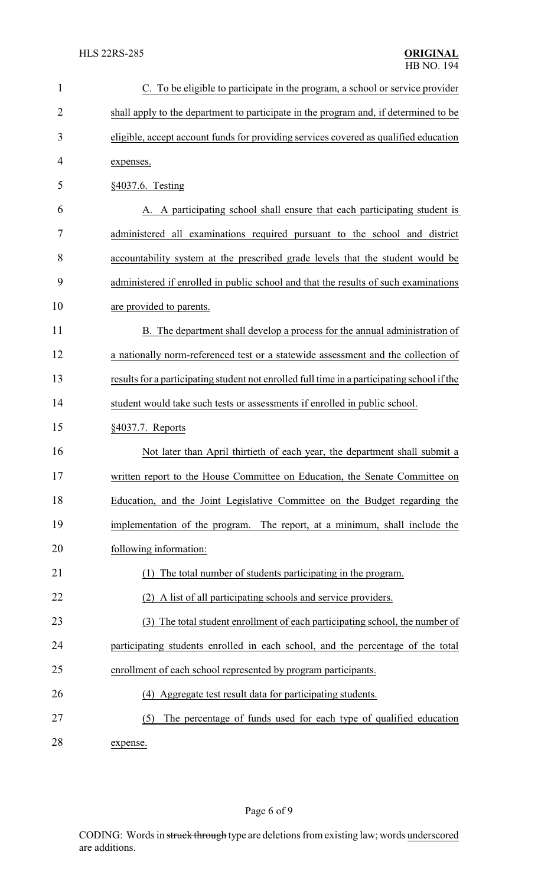| $\mathbf{1}$   | C. To be eligible to participate in the program, a school or service provider               |
|----------------|---------------------------------------------------------------------------------------------|
| $\overline{2}$ | shall apply to the department to participate in the program and, if determined to be        |
| 3              | eligible, accept account funds for providing services covered as qualified education        |
| 4              | expenses.                                                                                   |
| 5              | §4037.6. Testing                                                                            |
| 6              | A. A participating school shall ensure that each participating student is                   |
| 7              | administered all examinations required pursuant to the school and district                  |
| 8              | accountability system at the prescribed grade levels that the student would be              |
| 9              | administered if enrolled in public school and that the results of such examinations         |
| 10             | are provided to parents.                                                                    |
| 11             | B. The department shall develop a process for the annual administration of                  |
| 12             | a nationally norm-referenced test or a statewide assessment and the collection of           |
| 13             | results for a participating student not enrolled full time in a participating school if the |
| 14             | student would take such tests or assessments if enrolled in public school.                  |
| 15             | §4037.7. Reports                                                                            |
| 16             | Not later than April thirtieth of each year, the department shall submit a                  |
| 17             | written report to the House Committee on Education, the Senate Committee on                 |
| 18             | Education, and the Joint Legislative Committee on the Budget regarding the                  |
| 19             | implementation of the program. The report, at a minimum, shall include the                  |
| 20             | following information:                                                                      |
| 21             | The total number of students participating in the program.                                  |
| 22             | A list of all participating schools and service providers.                                  |
| 23             | (3) The total student enrollment of each participating school, the number of                |
| 24             | participating students enrolled in each school, and the percentage of the total             |
| 25             | enrollment of each school represented by program participants.                              |
| 26             | (4) Aggregate test result data for participating students.                                  |
| 27             | The percentage of funds used for each type of qualified education<br>(5)                    |
|                |                                                                                             |

28 expense.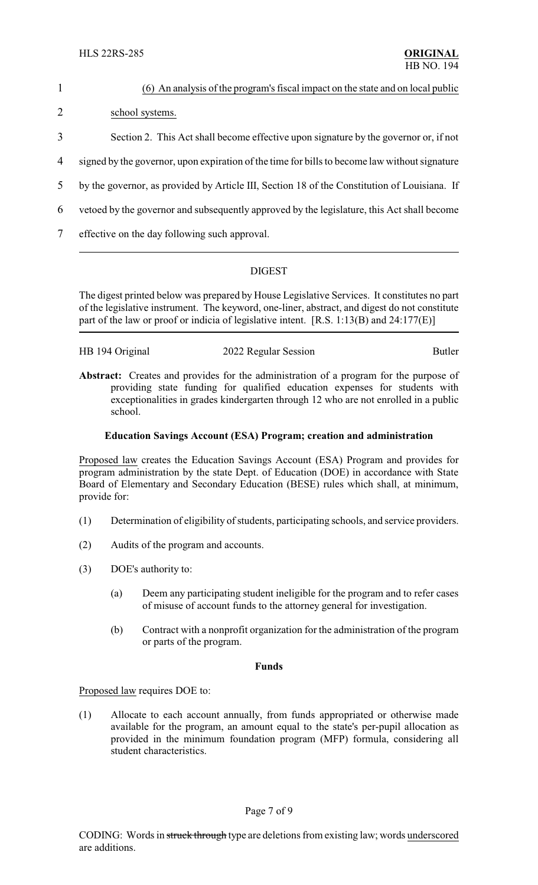# 1 (6) An analysis of the program's fiscal impact on the state and on local public 2 school systems. 3 Section 2. This Act shall become effective upon signature by the governor or, if not 4 signed by the governor, upon expiration of the time for bills to become law without signature 5 by the governor, as provided by Article III, Section 18 of the Constitution of Louisiana. If 6 vetoed by the governor and subsequently approved by the legislature, this Act shall become

7 effective on the day following such approval.

## DIGEST

The digest printed below was prepared by House Legislative Services. It constitutes no part of the legislative instrument. The keyword, one-liner, abstract, and digest do not constitute part of the law or proof or indicia of legislative intent. [R.S. 1:13(B) and 24:177(E)]

| HB 194 Original<br>2022 Regular Session | <b>Butler</b> |
|-----------------------------------------|---------------|

Abstract: Creates and provides for the administration of a program for the purpose of providing state funding for qualified education expenses for students with exceptionalities in grades kindergarten through 12 who are not enrolled in a public school.

#### **Education Savings Account (ESA) Program; creation and administration**

Proposed law creates the Education Savings Account (ESA) Program and provides for program administration by the state Dept. of Education (DOE) in accordance with State Board of Elementary and Secondary Education (BESE) rules which shall, at minimum, provide for:

- (1) Determination of eligibility of students, participating schools, and service providers.
- (2) Audits of the program and accounts.
- (3) DOE's authority to:
	- (a) Deem any participating student ineligible for the program and to refer cases of misuse of account funds to the attorney general for investigation.
	- (b) Contract with a nonprofit organization for the administration of the program or parts of the program.

#### **Funds**

Proposed law requires DOE to:

(1) Allocate to each account annually, from funds appropriated or otherwise made available for the program, an amount equal to the state's per-pupil allocation as provided in the minimum foundation program (MFP) formula, considering all student characteristics.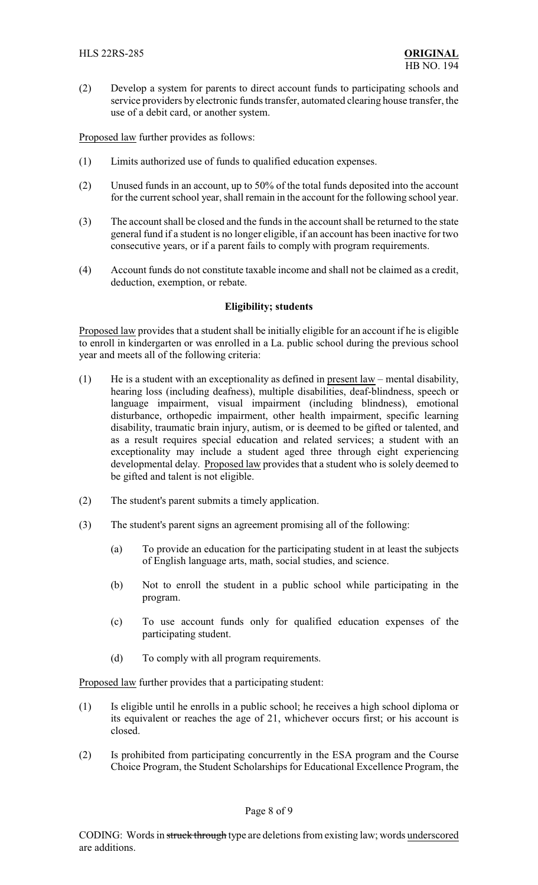(2) Develop a system for parents to direct account funds to participating schools and service providers by electronic funds transfer, automated clearing house transfer, the use of a debit card, or another system.

Proposed law further provides as follows:

- (1) Limits authorized use of funds to qualified education expenses.
- (2) Unused funds in an account, up to 50% of the total funds deposited into the account for the current school year, shall remain in the account for the following school year.
- (3) The account shall be closed and the funds in the account shall be returned to the state general fund if a student is no longer eligible, if an account has been inactive for two consecutive years, or if a parent fails to comply with program requirements.
- (4) Account funds do not constitute taxable income and shall not be claimed as a credit, deduction, exemption, or rebate.

#### **Eligibility; students**

Proposed law provides that a student shall be initially eligible for an account if he is eligible to enroll in kindergarten or was enrolled in a La. public school during the previous school year and meets all of the following criteria:

- (1) He is a student with an exceptionality as defined in present  $law$  mental disability, hearing loss (including deafness), multiple disabilities, deaf-blindness, speech or language impairment, visual impairment (including blindness), emotional disturbance, orthopedic impairment, other health impairment, specific learning disability, traumatic brain injury, autism, or is deemed to be gifted or talented, and as a result requires special education and related services; a student with an exceptionality may include a student aged three through eight experiencing developmental delay. Proposed law provides that a student who is solely deemed to be gifted and talent is not eligible.
- (2) The student's parent submits a timely application.
- (3) The student's parent signs an agreement promising all of the following:
	- (a) To provide an education for the participating student in at least the subjects of English language arts, math, social studies, and science.
	- (b) Not to enroll the student in a public school while participating in the program.
	- (c) To use account funds only for qualified education expenses of the participating student.
	- (d) To comply with all program requirements.

Proposed law further provides that a participating student:

- (1) Is eligible until he enrolls in a public school; he receives a high school diploma or its equivalent or reaches the age of 21, whichever occurs first; or his account is closed.
- (2) Is prohibited from participating concurrently in the ESA program and the Course Choice Program, the Student Scholarships for Educational Excellence Program, the

#### Page 8 of 9